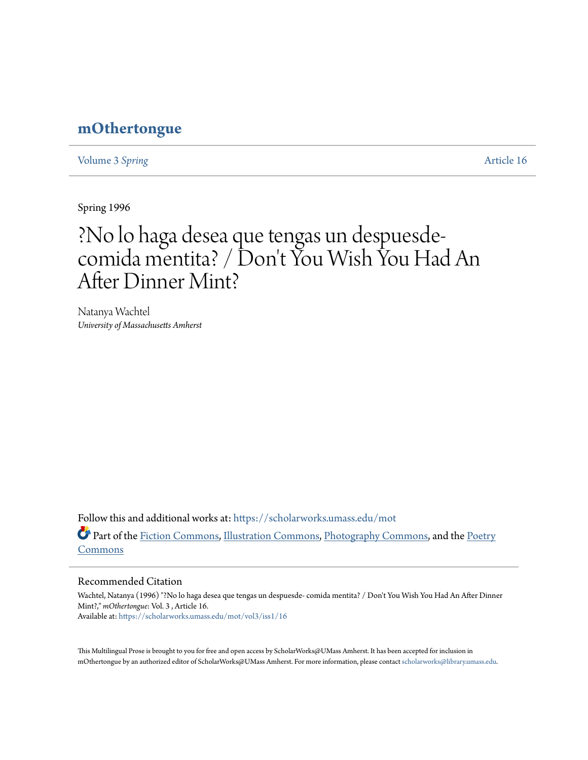## **[mOthertongue](https://scholarworks.umass.edu/mot?utm_source=scholarworks.umass.edu%2Fmot%2Fvol3%2Fiss1%2F16&utm_medium=PDF&utm_campaign=PDFCoverPages)**

[Volume 3](https://scholarworks.umass.edu/mot/vol3?utm_source=scholarworks.umass.edu%2Fmot%2Fvol3%2Fiss1%2F16&utm_medium=PDF&utm_campaign=PDFCoverPages) Spring [Article 16](https://scholarworks.umass.edu/mot/vol3/iss1/16?utm_source=scholarworks.umass.edu%2Fmot%2Fvol3%2Fiss1%2F16&utm_medium=PDF&utm_campaign=PDFCoverPages)

Spring 1996

# ?No lo haga desea que tengas un despuesdecomida mentita? / Don 't You Wish You Had An After Dinner Mint?

Natanya Wachtel *University of Massachusetts Amherst*

Follow this and additional works at: [https://scholarworks.umass.edu/mot](https://scholarworks.umass.edu/mot?utm_source=scholarworks.umass.edu%2Fmot%2Fvol3%2Fiss1%2F16&utm_medium=PDF&utm_campaign=PDFCoverPages) Part of the [Fiction Commons](http://network.bepress.com/hgg/discipline/1151?utm_source=scholarworks.umass.edu%2Fmot%2Fvol3%2Fiss1%2F16&utm_medium=PDF&utm_campaign=PDFCoverPages), [Illustration Commons,](http://network.bepress.com/hgg/discipline/1135?utm_source=scholarworks.umass.edu%2Fmot%2Fvol3%2Fiss1%2F16&utm_medium=PDF&utm_campaign=PDFCoverPages) [Photography Commons,](http://network.bepress.com/hgg/discipline/1142?utm_source=scholarworks.umass.edu%2Fmot%2Fvol3%2Fiss1%2F16&utm_medium=PDF&utm_campaign=PDFCoverPages) and the [Poetry](http://network.bepress.com/hgg/discipline/1153?utm_source=scholarworks.umass.edu%2Fmot%2Fvol3%2Fiss1%2F16&utm_medium=PDF&utm_campaign=PDFCoverPages) [Commons](http://network.bepress.com/hgg/discipline/1153?utm_source=scholarworks.umass.edu%2Fmot%2Fvol3%2Fiss1%2F16&utm_medium=PDF&utm_campaign=PDFCoverPages)

#### Recommended Citation

Wachtel, Natanya (1996) "?No lo haga desea que tengas un despuesde- comida mentita? / Don't You Wish You Had An After Dinner Mint?," *mOthertongue*: Vol. 3 , Article 16. Available at: [https://scholarworks.umass.edu/mot/vol3/iss1/16](https://scholarworks.umass.edu/mot/vol3/iss1/16?utm_source=scholarworks.umass.edu%2Fmot%2Fvol3%2Fiss1%2F16&utm_medium=PDF&utm_campaign=PDFCoverPages)

This Multilingual Prose is brought to you for free and open access by ScholarWorks@UMass Amherst. It has been accepted for inclusion in mOthertongue by an authorized editor of ScholarWorks@UMass Amherst. For more information, please contact [scholarworks@library.umass.edu](mailto:scholarworks@library.umass.edu).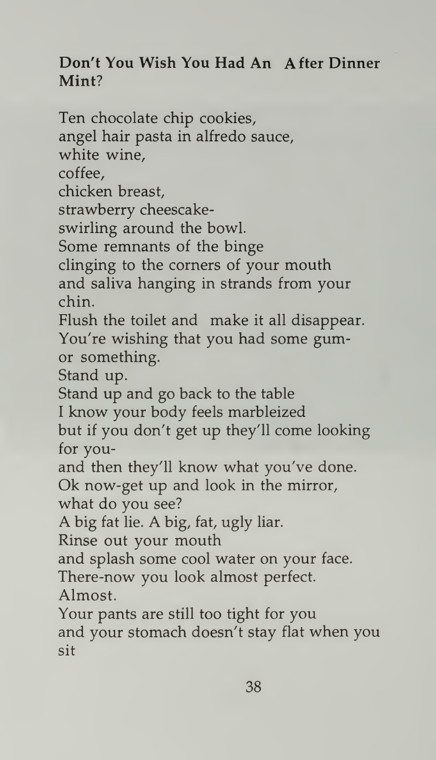## Don't You Wish You Had An After Dinner Mint?

Ten chocolate chip cookies, angel hair pasta in alfredo sauce, white wine, coffee, chicken breast, strawberry cheescakeswirling around the bowl. Some remnants of the binge clinging to the corners of your mouth and saliva hanging in strands from your chin. Flush the toilet and make it all disappear. You're wishing that you had some gumor something. Stand up. Stand up and go back to the table <sup>I</sup> know your body feels marbleized but if you don't get up they'll come looking for youand then they'll know what you've done. Ok now-get up and look in the mirror, what do you see? A big fat lie. A big, fat, ugly liar. Rinse out your mouth and splash some cool water on your face. There-now you look almost perfect. Almost. Your pants are still too tight for you and your stomach doesn't stay flat when you sit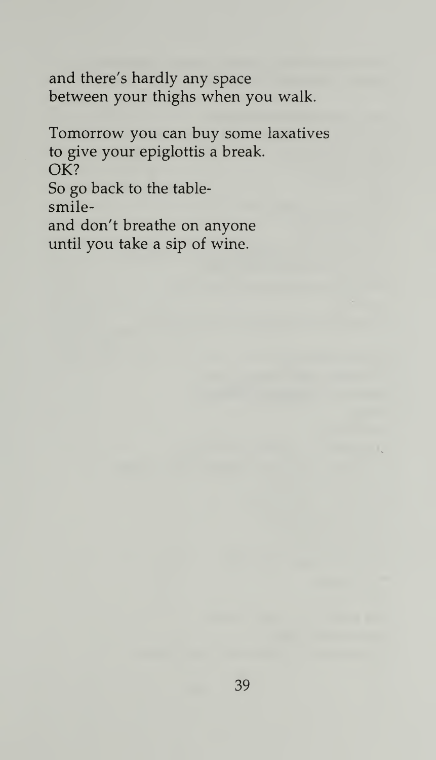and there's hardly any space between your thighs when you walk.

Tomorrow you can buy some laxatives to give your epiglottis a break. OK? So go back to the tablesmileand don't breathe on anyone until you take a sip of wine.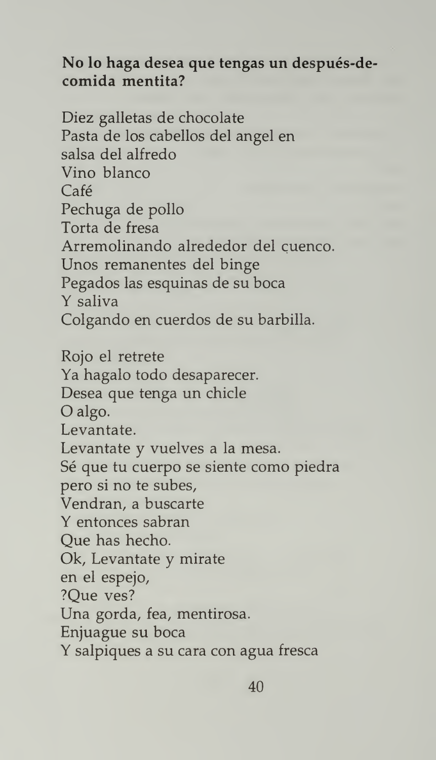### No lo haga desea que tengas un después-decomida mentita?

Diez galletas de chocolate Pasta de los cabellos del angel en salsa del alfredo Vino bianco Café Pechuga de polio Torta de fresa Arremolinando alrededor del cuenco. Unos remanentes del binge Pegados las esquinas de su boca Y saliva Colgando en cuerdos de su barbilla.

Rojo el retrete Ya hagalo todo desaparecer. Desea que tenga un chicle O algo. Levantate. Levantate y vuelves a la mesa. Sé que tu cuerpo se siente como piedra pero si no te subes, Vendran, a buscarte Y entonces sabran Que has hecho. Ok, Levantate y mirate en el espejo, ?Que ves? Una gorda, fea, mentirosa. Enjuague su boca